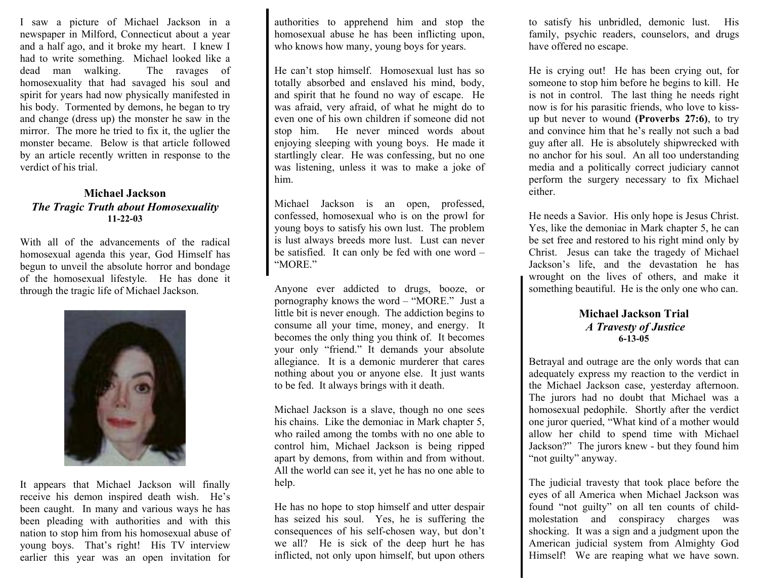I saw a picture of Michael Jackson in a newspaper in Milford, Connecticut about a year and a half ago, and it broke my heart. I knew I had to write something. Michael looked like a dead man walking. The ravages of homosexuality that had savaged his soul and spirit for years had now physically manifested in his body. Tormented by demons, he began to try and change (dress up) the monster he saw in the mirror. The more he tried to fix it, the uglier the monster became. Below is that article followed by an article recently written in response to the verdict of his trial.

### **Michael Jackson**  *The Tragic Truth about Homosexuality*  **11-22-03**

With all of the advancements of the radical homosexual agenda this year, God Himself has begun to unveil the absolute horror and bondage of the homosexual lifestyle. He has done it through the tragic life of Michael Jackson.



It appears that Michael Jackson will finally receive his demon inspired death wish. He's been caught. In many and various ways he has been pleading with authorities and with this nation to stop him from his homosexual abuse of young boys. That's right! His TV interview earlier this year was an open invitation for authorities to apprehend him and stop the homosexual abuse he has been inflicting upon, who knows how many, young boys for years.

He can't stop himself. Homosexual lust has so totally absorbed and enslaved his mind, body, and spirit that he found no way of escape. He was afraid, very afraid, of what he might do to even one of his own children if someone did not stop him. He never minced words about enjoying sleeping with young boys. He made it startlingly clear. He was confessing, but no one was listening, unless it was to make a joke of him.

Michael Jackson is an open, professed, confessed, homosexual who is on the prowl for young boys to satisfy his own lust. The problem is lust always breeds more lust. Lust can never be satisfied. It can only be fed with one word – "MORE."

Anyone ever addicted to drugs, booze, or pornography knows the word – "MORE." Just a little bit is never enough. The addiction begins to consume all your time, money, and energy. It becomes the only thing you think of. It becomes your only "friend." It demands your absolute allegiance. It is a demonic murderer that cares nothing about you or anyone else. It just wants to be fed. It always brings with it death.

Michael Jackson is a slave, though no one sees his chains. Like the demoniac in Mark chapter 5, who railed among the tombs with no one able to control him, Michael Jackson is being ripped apart by demons, from within and from without. All the world can see it, yet he has no one able to help.

He has no hope to stop himself and utter despair has seized his soul. Yes, he is suffering the consequences of his self-chosen way, but don't we all? He is sick of the deep hurt he has inflicted, not only upon himself, but upon others

to satisfy his unbridled, demonic lust. His family, psychic readers, counselors, and drugs have offered no escape.

He is crying out! He has been crying out, for someone to stop him before he begins to kill. He is not in control. The last thing he needs right now is for his parasitic friends, who love to kissup but never to wound **(Proverbs 27:6)**, to try and convince him that he's really not such a bad guy after all. He is absolutely shipwrecked with no anchor for his soul. An all too understanding media and a politically correct judiciary cannot perform the surgery necessary to fix Michael either.

He needs a Savior. His only hope is Jesus Christ. Yes, like the demoniac in Mark chapter 5, he can be set free and restored to his right mind only by Christ. Jesus can take the tragedy of Michael Jackson's life, and the devastation he has wrought on the lives of others, and make it something beautiful. He is the only one who can.

#### **Michael Jackson Trial**  *A Travesty of Justice* **6-13-05**

Betrayal and outrage are the only words that can adequately express my reaction to the verdict in the Michael Jackson case, yesterday afternoon. The jurors had no doubt that Michael was a homosexual pedophile. Shortly after the verdict one juror queried, "What kind of a mother would allow her child to spend time with Michael Jackson?" The jurors knew - but they found him "not guilty" anyway.

The judicial travesty that took place before the eyes of all America when Michael Jackson was found "not guilty" on all ten counts of childmolestation and conspiracy charges was shocking. It was a sign and a judgment upon the American judicial system from Almighty God Himself! We are reaping what we have sown.